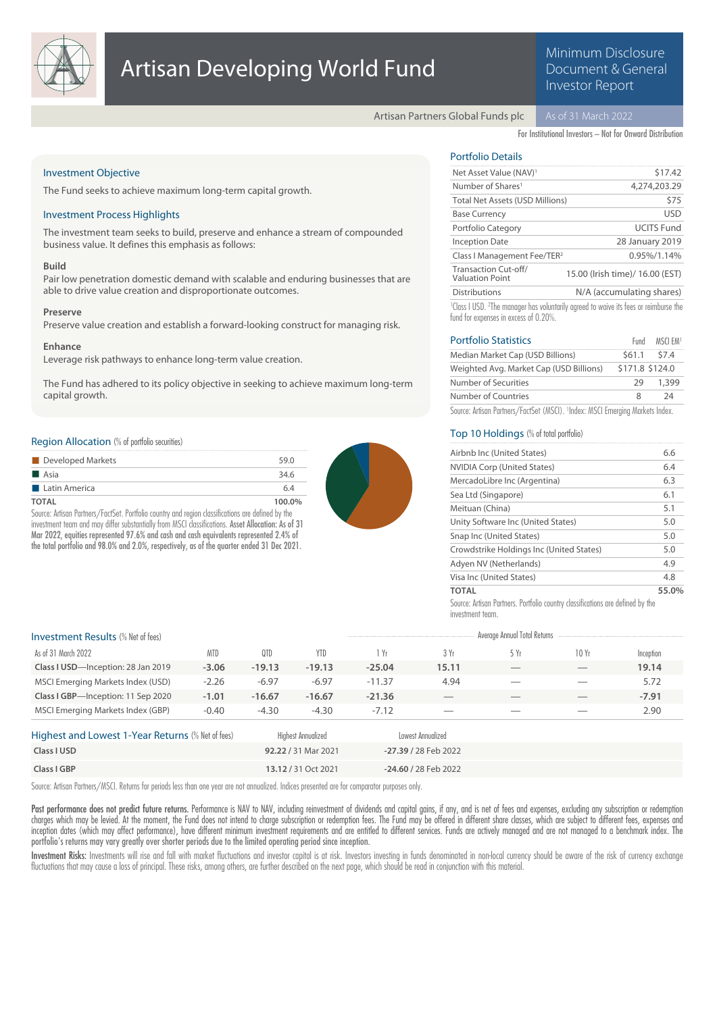

# Artisan Developing World Fund

# Minimum Disclosure Document & General Investor Report

Artisan Partners Global Funds plc

For Institutional Investors – Not for Onward Distribution

# Investment Objective

The Fund seeks to achieve maximum long-term capital growth.

# Investment Process Highlights

The investment team seeks to build, preserve and enhance a stream of compounded business value. It defines this emphasis as follows:

### **Build**

Pair low penetration domestic demand with scalable and enduring businesses that are able to drive value creation and disproportionate outcomes.

#### **Preserve**

Preserve value creation and establish a forward-looking construct for managing risk.

# **Enhance**

Leverage risk pathways to enhance long-term value creation.

The Fund has adhered to its policy objective in seeking to achieve maximum long-term capital growth.

# Region Allocation (% of portfolio securities)

| Developed Markets    | 59.0   |
|----------------------|--------|
| <b>■ Asia</b>        | 34.6   |
| <b>Latin America</b> | 6.4    |
| TOTAL                | 100.0% |

Source: Artisan Partners/FactSet. Portfolio country and region classifications are defined by the investment team and may differ substantially from MSCI classifications. Asset Allocation: As of 31 Mar 2022, equities represented 97.6% and cash and cash equivalents represented 2.4% of the total portfolio and 98.0% and 2.0%, respectively, as of the quarter ended 31 Dec 2021.



# Portfolio Details

| Net Asset Value (NAV) <sup>1</sup>             | \$17.42                                                                                                      |
|------------------------------------------------|--------------------------------------------------------------------------------------------------------------|
| Number of Shares <sup>1</sup>                  | 4,274,203.29                                                                                                 |
| <b>Total Net Assets (USD Millions)</b>         | \$75                                                                                                         |
| <b>Base Currency</b>                           | <b>USD</b>                                                                                                   |
| Portfolio Category                             | <b>UCITS Fund</b>                                                                                            |
| <b>Inception Date</b>                          | 28 January 2019                                                                                              |
| Class I Management Fee/TER <sup>2</sup>        | 0.95%/1.14%                                                                                                  |
| Transaction Cut-off/<br><b>Valuation Point</b> | 15.00 (Irish time)/ 16.00 (EST)                                                                              |
| <b>Distributions</b>                           | N/A (accumulating shares)                                                                                    |
|                                                | <sup>1</sup> Class I USD. <sup>2</sup> The manager has voluntarily agreed to waive its fees or reimburse the |

fund for expenses in excess of 0.20%.

| <b>Portfolio Statistics</b>                                                               | Fund            | msci emi |
|-------------------------------------------------------------------------------------------|-----------------|----------|
| Median Market Cap (USD Billions)                                                          | \$61.1 \$7.4    |          |
| Weighted Avg. Market Cap (USD Billions)                                                   | \$171.8 \$124.0 |          |
| Number of Securities                                                                      | 29              | 1,399    |
| Number of Countries                                                                       | 8               | 24       |
| Source: Artisan Partners/FactSet (MSCI). <sup>1</sup> Index: MSCI Emerging Markets Index. |                 |          |

# Top 10 Holdings (% of total portfolio)

| Airbnb Inc (United States)               | 6.6   |
|------------------------------------------|-------|
| <b>NVIDIA Corp (United States)</b>       | 6.4   |
| MercadoLibre Inc (Argentina)             | 6.3   |
| Sea Ltd (Singapore)                      | 6.1   |
| Meituan (China)                          | 5.1   |
| Unity Software Inc (United States)       | 5.0   |
| Snap Inc (United States)                 | 5.0   |
| Crowdstrike Holdings Inc (United States) | 5.0   |
| Adyen NV (Netherlands)                   | 4.9   |
| Visa Inc (United States)                 | 4.8   |
| TOTAL                                    | 55.0% |

Source: Artisan Partners. Portfolio country classifications are defined by the investment team.

# Investment Results (% Net of fees) Average Annual Total Returns

| <b>ILIVESURIENT INESURES</b> (70 NGL 01 1662) |            |          |            |          |                          |                          |                                 |           |
|-----------------------------------------------|------------|----------|------------|----------|--------------------------|--------------------------|---------------------------------|-----------|
| As of 31 March 2022                           | <b>MTD</b> | 0TD      | <b>YTD</b> | 1 Yr     | 3 Yr                     | 5 Yr                     | 10Yr                            | Inception |
| Class I USD-Inception: 28 Jan 2019            | $-3.06$    | $-19.13$ | $-19.13$   | $-25.04$ | 15.11                    | $\overline{\phantom{a}}$ | $\hspace{0.1mm}-\hspace{0.1mm}$ | 19.14     |
| MSCI Emerging Markets Index (USD)             | $-2.26$    | $-6.97$  | $-6.97$    | $-11.37$ | 4.94                     | $\overline{\phantom{a}}$ | $\overline{\phantom{a}}$        | 5.72      |
| Class I GBP-Inception: 11 Sep 2020            | $-1.01$    | $-16.67$ | $-16.67$   | $-21.36$ | $-$                      | $-$                      | $\hspace{0.1mm}-\hspace{0.1mm}$ | $-7.91$   |
| MSCI Emerging Markets Index (GBP)             | $-0.40$    | $-4.30$  | $-4.30$    | $-7.12$  | $\overline{\phantom{a}}$ | $\overline{\phantom{a}}$ |                                 | 2.90      |

| Highest and Lowest 1-Year Returns (% Net of fees) | Highest Annuglized  | Lowest Annualized      |
|---------------------------------------------------|---------------------|------------------------|
| Class I USD                                       | 92.22 / 31 Mar 2021 | -27.39 / 28 Feb 2022   |
| Class I GBP                                       | 13.12/31 Oct 2021   | $-24.60 / 28$ Feb 2022 |

Source: Artisan Partners/MSCI. Returns for periods less than one year are not annualized. Indices presented are for comparator purposes only.

Past performance does not predict future returns. Performance is NAV to NAV, including reinvestment of dividends and capital gains, if any, and is net of fees and expenses, excluding any subscription or redemption charges which may be levied. At the moment, the Fund does not intend to charge subscription or redemption fees. The Fund may be offered in different share classes, which are subject to different fees, expenses and inception dates (which may affect performance), have different minimum investment requirements and are entitled to different services. Funds are actively managed and are not managed to a benchmark index. The portfolio's returns may vary greatly over shorter periods due to the limited operating period since inception.

Investment Risks: Investments will rise and fall with market fluctuations and investor capital is at risk. Investors investing in funds denominated in non-local currency should be aware of the risk of currency exchange fluctuations that may cause a loss of principal. These risks, among others, are further described on the next page, which should be read in conjunction with this material.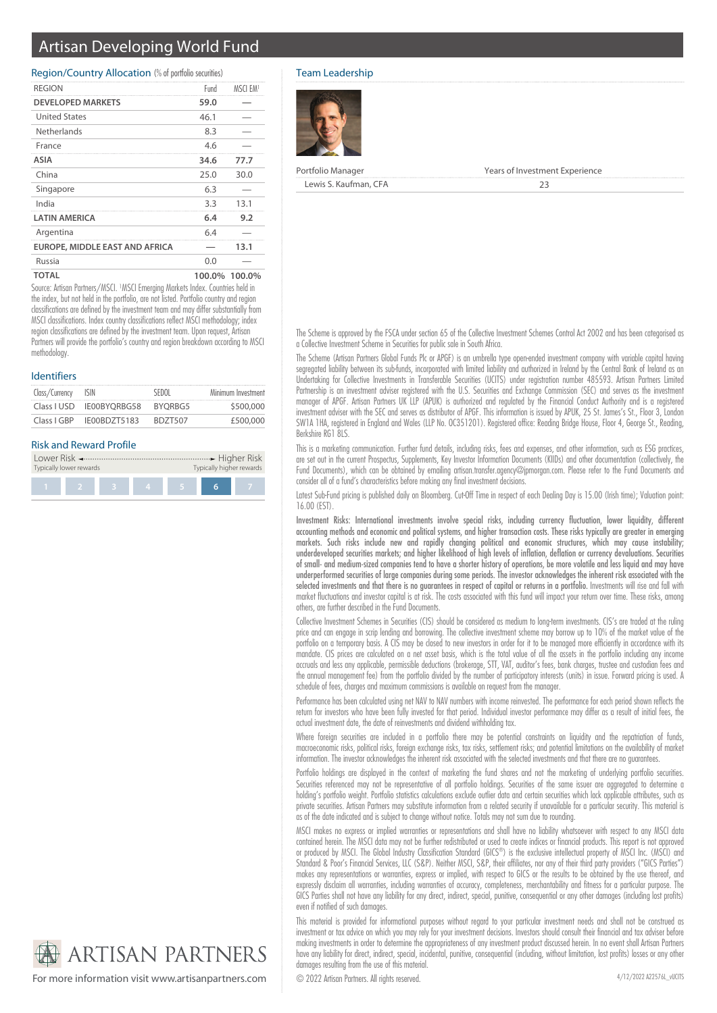# Artisan Developing World Fund

# Region/Country Allocation (% of portfolio securities)

| <b>REGION</b>                         | Fund | MSCL EM1      |
|---------------------------------------|------|---------------|
| <b>DEVELOPED MARKETS</b>              | 59.0 |               |
| <b>United States</b>                  | 46.1 |               |
| Netherlands                           | 8.3  |               |
| France                                | 4.6  |               |
| ASIA                                  | 34.6 | 77.7          |
| China                                 | 25.0 | 30.0          |
| Singapore                             | 6.3  |               |
| India                                 | 3.3  | 13.1          |
| <b>LATIN AMERICA</b>                  | 6.4  | 9.2           |
| Argentina                             | 6.4  |               |
| <b>EUROPE, MIDDLE EAST AND AFRICA</b> |      | 13.1          |
| Russia                                | 0.0  |               |
| <b>TOTAL</b>                          |      | 100.0% 100.0% |

Source: Artisan Partners/MSCI. <sup>1</sup>MSCI Emerging Markets Index. Countries held in the index, but not held in the portfolio, are not listed. Portfolio country and region classifications are defined by the investment team and may differ substantially from MSCI classifications. Index country classifications reflect MSCI methodology; index region classifications are defined by the investment team. Upon request, Artisan Partners will provide the portfolio's country and region breakdown according to MSCI methodology

# Identifiers

| Class/Currency | ISIN                     | SEDOL          | Minimum Investment |
|----------------|--------------------------|----------------|--------------------|
|                | Class I USD IE00BYORBG58 | BYORBG5        | \$500,000          |
| Class I GBP    | IE00BDZT5183             | <b>BDZT507</b> | £500,000           |

# Risk and Reward Profile

| Typically lower rewards |  | Typically higher rewards |  |
|-------------------------|--|--------------------------|--|
|                         |  |                          |  |

# Team Leadership



Portfolio Manager **Years of Investment Experience** Lewis S. Kaufman, CFA 23

The Scheme is approved by the FSCA under section 65 of the Collective Investment Schemes Control Act 2002 and has been categorised as a Collective Investment Scheme in Securities for public sale in South Africa.

The Scheme (Artisan Partners Global Funds Plc or APGF) is an umbrella type open-ended investment company with variable capital having segregated liability between its sub-funds, incorporated with limited liability and authorized in Ireland by the Central Bank of Ireland as an Undertaking for Collective Investments in Transferable Securities (UCITS) under registration number 485593. Artisan Partners Limited Partnership is an investment adviser registered with the U.S. Securities and Exchange Commission (SEC) and serves as the investment manager of APGF. Artisan Partners UK LLP (APUK) is authorized and regulated by the Financial Conduct Authority and is a registered investment adviser with the SEC and serves as distributor of APGF. This information is issued by APUK, 25 St. James's St., Floor 3, London SW1A 1HA, registered in England and Wales (LLP No. OC351201). Registered office: Reading Bridge House, Floor 4, George St., Reading, Berkshire RG1 8LS

This is a marketing communication. Further fund details, including risks, fees and expenses, and other information, such as ESG practices, are set out in the current Prospectus, Supplements, Key Investor Information Documents (KIIDs) and other documentation (collectively, the Fund Documents), which can be obtained by emailing artisan.transfer.agency@jpmorgan.com. Please refer to the Fund Documents and consider all of a fund's characteristics before making any final investment decisions.

Latest Sub-Fund pricing is published daily on Bloomberg. Cut-Off Time in respect of each Dealing Day is 15.00 (Irish time); Valuation point: 16.00 (EST).

Investment Risks: International investments involve special risks, including currency fluctuation, lower liquidity, different accounting methods and economic and political systems, and higher transaction costs. These risks typically are greater in emerging markets. Such risks include new and rapidly changing political and economic structures, which may cause instability; underdeveloped securities markets; and higher likelihood of high levels of inflation, deflation or currency devaluations. Securities of small- and medium-sized companies tend to have a shorter history of operations, be more volatile and less liquid and may have underperformed securities of large companies during some periods. The investor acknowledges the inherent risk associated with the selected investments and that there is no guarantees in respect of capital or returns in a portfolio. Investments will rise and fall with market fluctuations and investor capital is at risk. The costs associated with this fund will impact your return over time. These risks, among others, are further described in the Fund Documents.

Collective Investment Schemes in Securities (CIS) should be considered as medium to long-term investments. CIS's are traded at the ruling price and can engage in scrip lending and borrowing. The collective investment scheme may borrow up to 10% of the market value of the portfolio on a temporary basis. A CIS may be closed to new investors in order for it to be managed more efficiently in accordance with its mandate. CIS prices are calculated on a net asset basis, which is the total value of all the assets in the portfolio including any income accruals and less any applicable, permissible deductions (brokerage, STT, VAT, auditor's fees, bank charges, trustee and custodian fees and the annual management fee) from the portfolio divided by the number of participatory interests (units) in issue. Forward pricing is used. A schedule of fees, charges and maximum commissions is available on request from the manager.

Performance has been calculated using net NAV to NAV numbers with income reinvested. The performance for each period shown reflects the return for investors who have been fully invested for that period. Individual investor performance may differ as a result of initial fees, the actual investment date, the date of reinvestments and dividend withholding tax.

Where foreign securities are included in a portfolio there may be potential constraints on liquidity and the repatriation of funds, macroeconomic risks, political risks, foreign exchange risks, tax risks, settlement risks; and potential limitations on the availability of market information. The investor acknowledges the inherent risk associated with the selected investments and that there are no guarantees.

Portfolio holdings are displayed in the context of marketing the fund shares and not the marketing of underlying portfolio securities. Securities referenced may not be representative of all portfolio holdings. Securities of the same issuer are aggregated to determine a holding's portfolio weight. Portfolio statistics calculations exclude outlier data and certain securities which lack applicable attributes, such as private securities. Artisan Partners may substitute information from a related security if unavailable for a particular security. This material is as of the date indicated and is subject to change without notice. Totals may not sum due to rounding.

MSCI makes no express or implied warranties or representations and shall have no liability whatsoever with respect to any MSCI data contained herein. The MSCI data may not be further redistributed or used to create indices or financial products. This report is not approved or produced by MSCI. The Global Industry Classification Standard (GICS®) is the exclusive intellectual property of MSCI Inc. (MSCI) and Standard & Poor's Financial Services, LLC (S&P). Neither MSCI, S&P, their affiliates, nor any of their third party providers ("GICS Parties") makes any representations or warranties, express or implied, with respect to GICS or the results to be obtained by the use thereof, and expressly disclaim all warranties, including warranties of accuracy, completeness, merchantability and fitness for a particular purpose. The GICS Parties shall not have any liability for any direct, indirect, special, punitive, consequential or any other damages (including lost profits) even if notified of such damages.

This material is provided for informational purposes without regard to your particular investment needs and shall not be construed as investment or tax advice on which you may rely for your investment decisions. Investors should consult their financial and tax adviser before making investments in order to determine the appropriateness of any investment product discussed herein. In no event shall Artisan Partners have any liability for direct, indirect, special, incidental, punitive, consequential (including, without limitation, lost profits) losses or any other damages resulting from the use of this material.

**ARTISAN PARTNERS** 

For more information visit www.artisanpartners.com © 2022 Artisan Partners. All rights reserved.